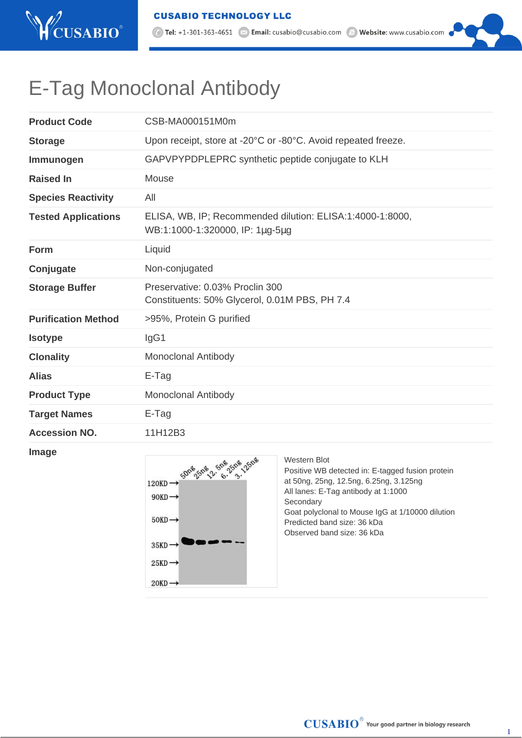

## E-Tag Monoclonal Antibody

| <b>Product Code</b>        | CSB-MA000151M0m                                                                              |
|----------------------------|----------------------------------------------------------------------------------------------|
| <b>Storage</b>             | Upon receipt, store at -20°C or -80°C. Avoid repeated freeze.                                |
| Immunogen                  | GAPVPYPDPLEPRC synthetic peptide conjugate to KLH                                            |
| <b>Raised In</b>           | Mouse                                                                                        |
| <b>Species Reactivity</b>  | All                                                                                          |
| <b>Tested Applications</b> | ELISA, WB, IP; Recommended dilution: ELISA:1:4000-1:8000,<br>WB:1:1000-1:320000, IP: 1µg-5µg |
| Form                       | Liquid                                                                                       |
| Conjugate                  | Non-conjugated                                                                               |
| <b>Storage Buffer</b>      | Preservative: 0.03% Proclin 300<br>Constituents: 50% Glycerol, 0.01M PBS, PH 7.4             |
| <b>Purification Method</b> | >95%, Protein G purified                                                                     |
| <b>Isotype</b>             | IgG1                                                                                         |
| <b>Clonality</b>           | <b>Monoclonal Antibody</b>                                                                   |
| <b>Alias</b>               | E-Tag                                                                                        |
| <b>Product Type</b>        | <b>Monoclonal Antibody</b>                                                                   |
| <b>Target Names</b>        | E-Tag                                                                                        |
| <b>Accession NO.</b>       | 11H12B3                                                                                      |

## **Image**



Western Blot Positive WB detected in: E-tagged fusion protein at 50ng, 25ng, 12.5ng, 6.25ng, 3.125ng All lanes: E-Tag antibody at 1:1000 Secondary Goat polyclonal to Mouse IgG at 1/10000 dilution Predicted band size: 36 kDa Observed band size: 36 kDa